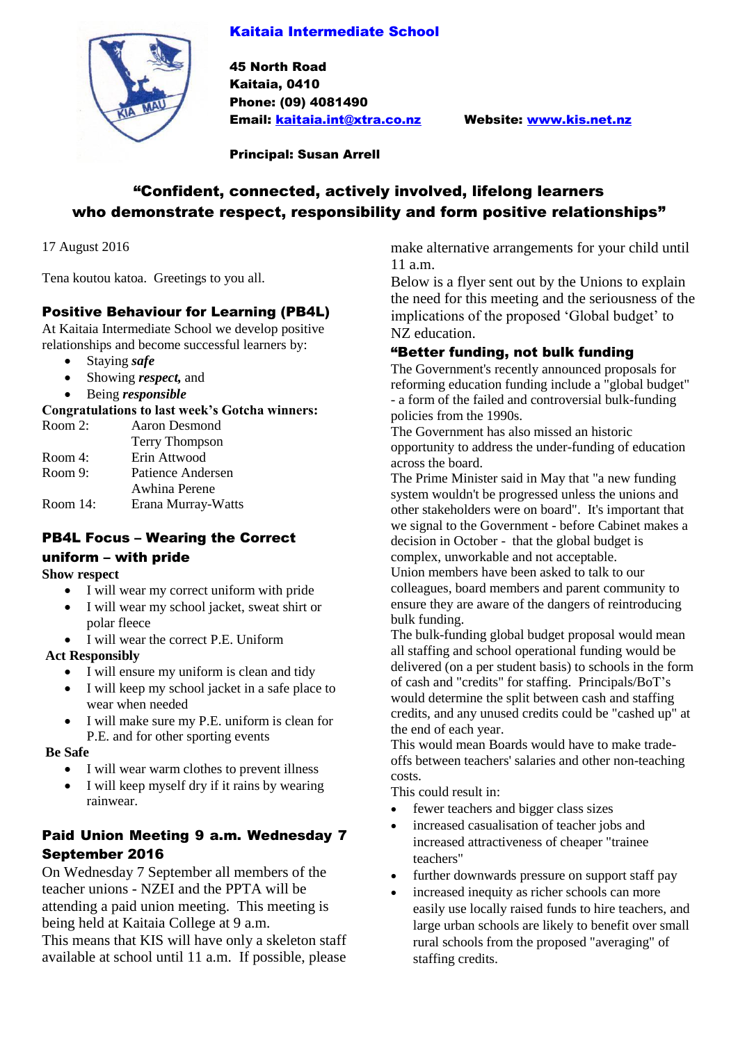### Kaitaia Intermediate School



45 North Road Kaitaia, 0410 Phone: (09) 4081490 Email: [kaitaia.int@xtra.co.nz](mailto:kaitaia.int@xtra.co.nz) Website: [www.kis.net.nz](http://www.kis.net.nz/)

Principal: Susan Arrell

# "Confident, connected, actively involved, lifelong learners who demonstrate respect, responsibility and form positive relationships"

17 August 2016

Tena koutou katoa. Greetings to you all.

#### Positive Behaviour for Learning (PB4L)

At Kaitaia Intermediate School we develop positive relationships and become successful learners by:

- Staying *safe*
- Showing *respect,* and
- Being *responsible*

#### **Congratulations to last week's Gotcha winners:**

| Room 2:     | Aaron Desmond      |
|-------------|--------------------|
|             | Terry Thompson     |
| Room 4:     | Erin Attwood       |
| Room 9:     | Patience Andersen  |
|             | Awhina Perene      |
| Room $14$ : | Erana Murray-Watts |
|             |                    |

# PB4L Focus – Wearing the Correct

#### uniform – with pride

#### **Show respect**

- I will wear my correct uniform with pride
- I will wear my school jacket, sweat shirt or polar fleece
- I will wear the correct P.E. Uniform

#### **Act Responsibly**

- I will ensure my uniform is clean and tidy
- I will keep my school jacket in a safe place to wear when needed
- I will make sure my P.E. uniform is clean for P.E. and for other sporting events

#### **Be Safe**

- I will wear warm clothes to prevent illness
- I will keep myself dry if it rains by wearing rainwear.

### Paid Union Meeting 9 a.m. Wednesday 7 September 2016

On Wednesday 7 September all members of the teacher unions - NZEI and the PPTA will be attending a paid union meeting. This meeting is being held at Kaitaia College at 9 a.m.

This means that KIS will have only a skeleton staff available at school until 11 a.m. If possible, please

make alternative arrangements for your child until 11 a.m.

Below is a flyer sent out by the Unions to explain the need for this meeting and the seriousness of the implications of the proposed 'Global budget' to NZ education.

### "Better funding, not bulk funding

The Government's recently announced proposals for reforming education funding include a "global budget" - a form of the failed and controversial bulk-funding policies from the 1990s.

The Government has also missed an historic opportunity to address the under-funding of education across the board.

The Prime Minister said in May that "a new funding system wouldn't be progressed unless the unions and other stakeholders were on board". It's important that we signal to the Government - before Cabinet makes a decision in October - that the global budget is complex, unworkable and not acceptable.

Union members have been asked to talk to our colleagues, board members and parent community to ensure they are aware of the dangers of reintroducing bulk funding.

The bulk-funding global budget proposal would mean all staffing and school operational funding would be delivered (on a per student basis) to schools in the form of cash and "credits" for staffing. Principals/BoT's would determine the split between cash and staffing credits, and any unused credits could be "cashed up" at the end of each year.

This would mean Boards would have to make tradeoffs between teachers' salaries and other non-teaching costs.

This could result in:

- fewer teachers and bigger class sizes
- increased casualisation of teacher jobs and increased attractiveness of cheaper "trainee teachers"
- further downwards pressure on support staff pay
- increased inequity as richer schools can more easily use locally raised funds to hire teachers, and large urban schools are likely to benefit over small rural schools from the proposed "averaging" of staffing credits.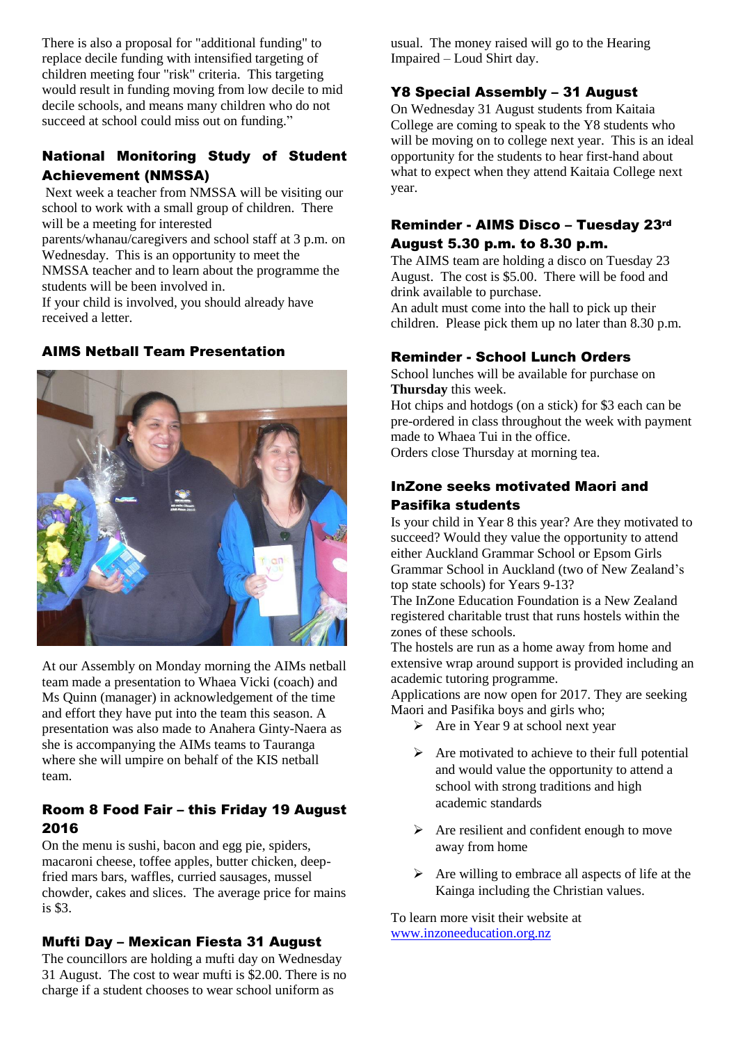There is also a proposal for "additional funding" to replace decile funding with intensified targeting of children meeting four "risk" criteria. This targeting would result in funding moving from low decile to mid decile schools, and means many children who do not succeed at school could miss out on funding."

# National Monitoring Study of Student Achievement (NMSSA)

Next week a teacher from NMSSA will be visiting our school to work with a small group of children. There will be a meeting for interested

parents/whanau/caregivers and school staff at 3 p.m. on Wednesday. This is an opportunity to meet the NMSSA teacher and to learn about the programme the students will be been involved in.

If your child is involved, you should already have received a letter.

#### AIMS Netball Team Presentation



At our Assembly on Monday morning the AIMs netball team made a presentation to Whaea Vicki (coach) and Ms Quinn (manager) in acknowledgement of the time and effort they have put into the team this season. A presentation was also made to Anahera Ginty-Naera as she is accompanying the AIMs teams to Tauranga where she will umpire on behalf of the KIS netball team.

### Room 8 Food Fair – this Friday 19 August 2016

On the menu is sushi, bacon and egg pie, spiders, macaroni cheese, toffee apples, butter chicken, deepfried mars bars, waffles, curried sausages, mussel chowder, cakes and slices. The average price for mains is \$3.

#### Mufti Day – Mexican Fiesta 31 August

The councillors are holding a mufti day on Wednesday 31 August. The cost to wear mufti is \$2.00. There is no charge if a student chooses to wear school uniform as

usual. The money raised will go to the Hearing Impaired – Loud Shirt day.

### Y8 Special Assembly – 31 August

On Wednesday 31 August students from Kaitaia College are coming to speak to the Y8 students who will be moving on to college next year. This is an ideal opportunity for the students to hear first-hand about what to expect when they attend Kaitaia College next year.

#### Reminder - AIMS Disco – Tuesday 23rd August 5.30 p.m. to 8.30 p.m.

The AIMS team are holding a disco on Tuesday 23 August. The cost is \$5.00. There will be food and drink available to purchase.

An adult must come into the hall to pick up their children. Please pick them up no later than 8.30 p.m.

#### Reminder - School Lunch Orders

School lunches will be available for purchase on **Thursday** this week.

Hot chips and hotdogs (on a stick) for \$3 each can be pre-ordered in class throughout the week with payment made to Whaea Tui in the office.

Orders close Thursday at morning tea.

### InZone seeks motivated Maori and Pasifika students

Is your child in Year 8 this year? Are they motivated to succeed? Would they value the opportunity to attend either Auckland Grammar School or Epsom Girls Grammar School in Auckland (two of New Zealand's top state schools) for Years 9-13?

The InZone Education Foundation is a New Zealand registered charitable trust that runs hostels within the zones of these schools.

The hostels are run as a home away from home and extensive wrap around support is provided including an academic tutoring programme.

Applications are now open for 2017. They are seeking Maori and Pasifika boys and girls who;

- $\triangleright$  Are in Year 9 at school next year
- $\triangleright$  Are motivated to achieve to their full potential and would value the opportunity to attend a school with strong traditions and high academic standards
- $\triangleright$  Are resilient and confident enough to move away from home
- $\triangleright$  Are willing to embrace all aspects of life at the Kainga including the Christian values.

To learn more visit their website at [www.inzoneeducation.org.nz](http://www.inzoneeducation.org.nz/)